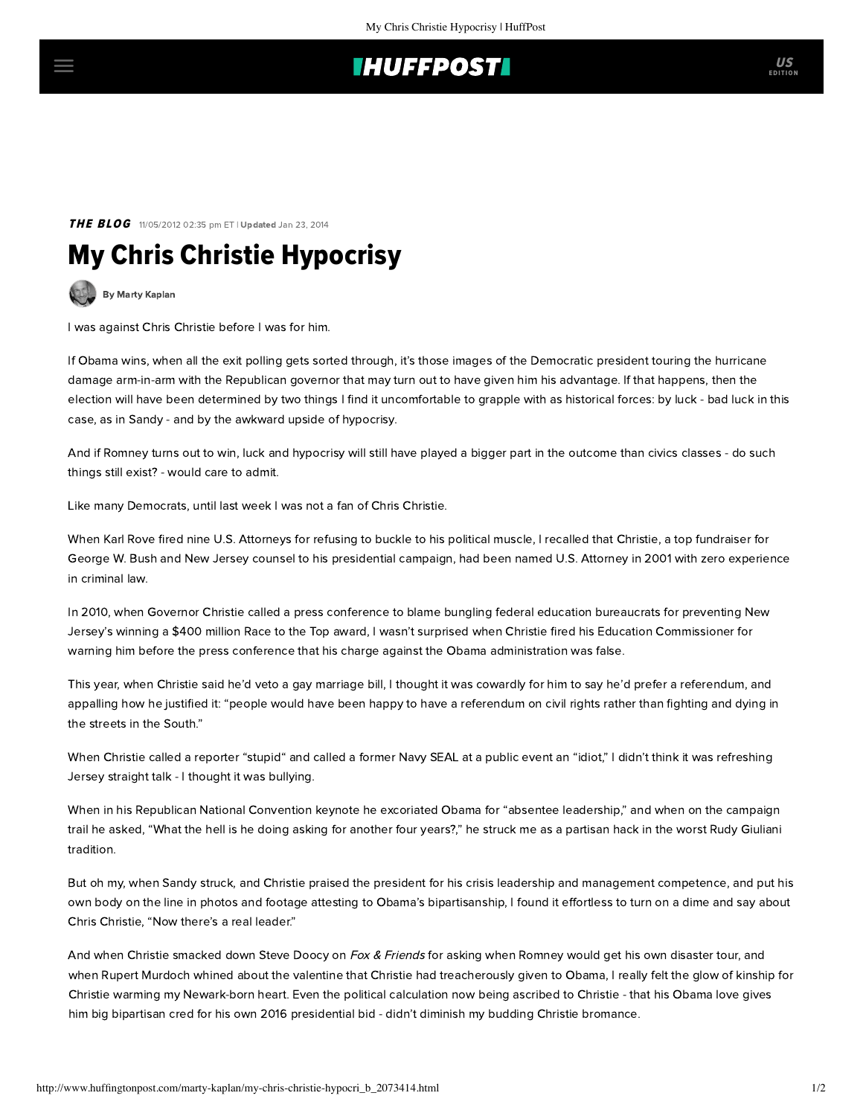## **THUFFPOST**

**THE BLOG** 11/05/2012 02:35 pm ET | Updated Jan 23, 2014

## My Chris Christie Hypocrisy



I was against Chris Christie before I was for him.

If Obama wins, when all the exit polling gets sorted through, it's those images of the Democratic president touring the hurricane damage arm-in-arm with the Republican governor that may turn out to have given him his advantage. If that happens, then the election will have been determined by two things I find it uncomfortable to grapple with as historical forces: by luck - bad luck in this case, as in Sandy - and by the awkward upside of hypocrisy.

And if Romney turns out to win, luck and hypocrisy will still have played a bigger part in the outcome than civics classes - do such things still exist? - would care to admit.

Like many Democrats, until last week I was not a fan of Chris Christie.

When Karl Rove [fired](http://www.nytimes.com/2007/03/29/washington/29rove.html?pagewanted=all&_r=0) nine U.S. Attorneys for refusing to buckle to his political muscle, I recalled that Christie, a top fundraiser for George W. Bush and New Jersey counsel to his presidential campaign, had been [named U.S. Attorney](http://www.nytimes.com/2001/08/26/nyregion/new-jersey-gop-and-legal-elite-differ-on-us-attorney.html) in 2001 with zero experience in criminal law.

In 2010, when Governor Christie called a press conference to blame bungling federal education bureaucrats for preventing New Jersey's winning a \$400 million Race to the Top award, I wasn't surprised when Christie fired his Education Commissioner for [warning him](http://tpmmuckraker.talkingpointsmemo.com/2010/09/ex-nj_education_official_says_he_warned_christie_about_false_statement.php) before the press conference that his charge against the Obama administration was false.

This year, when Christie said he'd veto a gay marriage bill, I thought it was cowardly for him to say he'd prefer a referendum, and appalling [how he justified it:](http://www.huffingtonpost.com/2012/01/26/chris-christie-gay-marriage-civil-rights_n_1234276.html) "people would have been happy to have a referendum on civil rights rather than fighting and dying in the streets in the South."

When Christie called a reporter "[stupid](http://www.mediaite.com/tv/jersey-unsure-idiot-scolder-chris-christie-doesnt-know-how-press-conferences-work/)" and called a former Navy SEAL at a public event an ["idiot](http://www.huffingtonpost.com/2012/03/12/chris-christie-idiot-william-brown-navy-seal_n_1339777.html)," I didn't think it was refreshing Jersey straight talk - I thought it was bullying.

When in his Republican National Convention keynote he excoriated Obama for "absentee leadership," and when on the campaign trail he asked, ["What the hell is he doing asking for another four years?," he struck me as a partisan hack in the worst Rudy Giuliani](http://www.theblaze.com/stories/christie-unleashed-if-obama-cant-change-washington-from-the-inside-what-the-hell-is-he-doing-asking-for-another-four-years/) tradition.

But oh my, when Sandy struck, and Christie praised the president for his crisis leadership and management competence, and put his own body on the line in photos and footage attesting to Obama's bipartisanship, I found it effortless to turn on a dime and say about Chris Christie, "Now there's a real leader."

And when Christie [smacked down](http://www.youtube.com/watch?v=KFmzvoa1aoU&feature=youtu.be&a) Steve Doocy on Fox & Friends for asking when Romney would get his own disaster tour, and when Rupert Murdoch [whined](http://mediamatters.org/blog/2012/11/04/murdochs-ny-post-to-gov-christie-politicize-hur/191124) about the valentine that Christie had treacherously given to Obama, I really felt the glow of kinship for Christie warming my Newark-born heart. Even the political calculation now being ascribed to Christie - that his Obama love gives him big bipartisan cred for his own 2016 presidential bid - didn't diminish my budding Christie bromance.